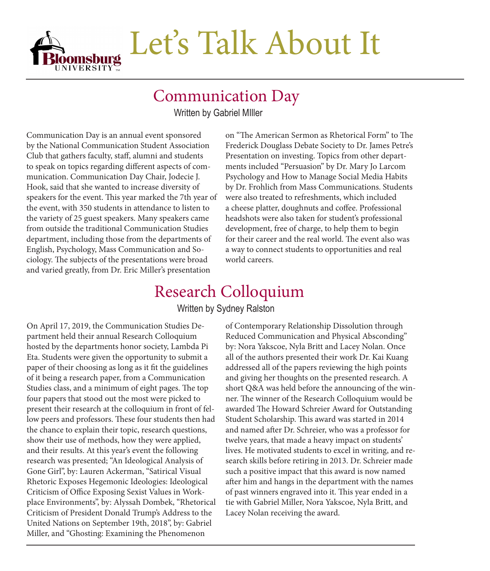

#### Communication Day

Written by Gabriel MIller

Communication Day is an annual event sponsored by the National Communication Student Association Club that gathers faculty, staff, alumni and students to speak on topics regarding different aspects of communication. Communication Day Chair, Jodecie J. Hook, said that she wanted to increase diversity of speakers for the event. This year marked the 7th year of the event, with 350 students in attendance to listen to the variety of 25 guest speakers. Many speakers came from outside the traditional Communication Studies department, including those from the departments of English, Psychology, Mass Communication and Sociology. The subjects of the presentations were broad and varied greatly, from Dr. Eric Miller's presentation

on "The American Sermon as Rhetorical Form" to The Frederick Douglass Debate Society to Dr. James Petre's Presentation on investing. Topics from other departments included "Persuasion" by Dr. Mary Jo Larcom Psychology and How to Manage Social Media Habits by Dr. Frohlich from Mass Communications. Students were also treated to refreshments, which included a cheese platter, doughnuts and coffee. Professional headshots were also taken for student's professional development, free of charge, to help them to begin for their career and the real world. The event also was a way to connect students to opportunities and real world careers.

### Research Colloquium

Written by Sydney Ralston

On April 17, 2019, the Communication Studies Department held their annual Research Colloquium hosted by the departments honor society, Lambda Pi Eta. Students were given the opportunity to submit a paper of their choosing as long as it fit the guidelines of it being a research paper, from a Communication Studies class, and a minimum of eight pages. The top four papers that stood out the most were picked to present their research at the colloquium in front of fellow peers and professors. These four students then had the chance to explain their topic, research questions, show their use of methods, how they were applied, and their results. At this year's event the following research was presented; "An Ideological Analysis of Gone Girl", by: Lauren Ackerman, "Satirical Visual Rhetoric Exposes Hegemonic Ideologies: Ideological Criticism of Office Exposing Sexist Values in Workplace Environments", by: Alyssah Dombek, "Rhetorical Criticism of President Donald Trump's Address to the United Nations on September 19th, 2018", by: Gabriel Miller, and "Ghosting: Examining the Phenomenon

of Contemporary Relationship Dissolution through Reduced Communication and Physical Absconding" by: Nora Yakscoe, Nyla Britt and Lacey Nolan. Once all of the authors presented their work Dr. Kai Kuang addressed all of the papers reviewing the high points and giving her thoughts on the presented research. A short Q&A was held before the announcing of the winner. The winner of the Research Colloquium would be awarded The Howard Schreier Award for Outstanding Student Scholarship. This award was started in 2014 and named after Dr. Schreier, who was a professor for twelve years, that made a heavy impact on students' lives. He motivated students to excel in writing, and research skills before retiring in 2013. Dr. Schreier made such a positive impact that this award is now named after him and hangs in the department with the names of past winners engraved into it. This year ended in a tie with Gabriel Miller, Nora Yakscoe, Nyla Britt, and Lacey Nolan receiving the award.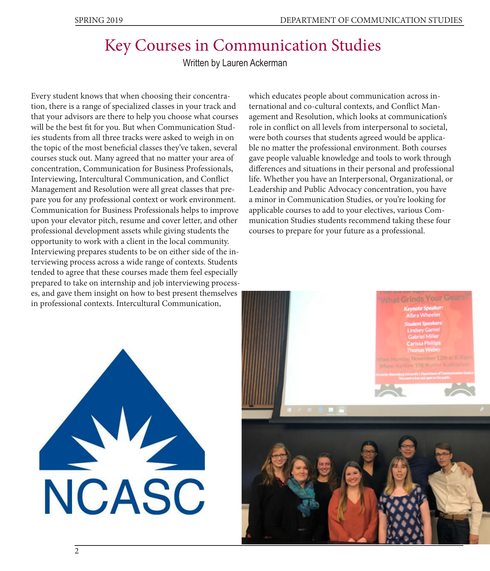## Key Courses in Communication Studies

Written by Lauren Ackerman

Every student knows that when choosing their concentration, there is a range of specialized classes in your track and that your advisors are there to help you choose what courses will be the best fit for you. But when Communication Studies students from all three tracks were asked to weigh in on the topic of the most beneficial classes they've taken, several courses stuck out. Many agreed that no matter your area of concentration, Communication for Business Professionals, Interviewing, Intercultural Communication, and Conflict Management and Resolution were all great classes that prepare you for any professional context or work environment. Communication for Business Professionals helps to improve upon your elevator pitch, resume and cover letter, and other professional development assets while giving students the opportunity to work with a client in the local community. Interviewing prepares students to be on either side of the interviewing process across a wide range of contexts. Students tended to agree that these courses made them feel especially prepared to take on internship and job interviewing processes, and gave them insight on how to best present themselves in professional contexts. Intercultural Communication,

which educates people about communication across international and co-cultural contexts, and Conflict Management and Resolution, which looks at communication's role in conflict on all levels from interpersonal to societal, were both courses that students agreed would be applicable no matter the professional environment. Both courses gave people valuable knowledge and tools to work through differences and situations in their personal and professional life. Whether you have an Interpersonal, Organizational, or Leadership and Public Advocacy concentration, you have a minor in Communication Studies, or you're looking for applicable courses to add to your electives, various Communication Studies students recommend taking these four courses to prepare for your future as a professional.



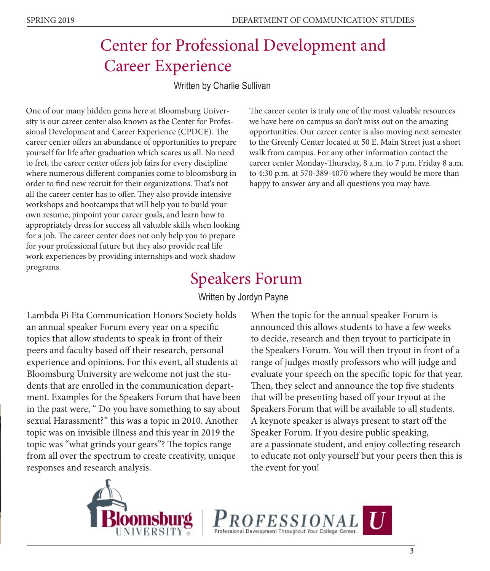### Center for Professional Development and Career Experience

Written by Charlie Sullivan

One of our many hidden gems here at Bloomsburg University is our career center also known as the Center for Professional Development and Career Experience (CPDCE). The career center offers an abundance of opportunities to prepare yourself for life after graduation which scares us all. No need to fret, the career center offers job fairs for every discipline where numerous different companies come to bloomsburg in order to find new recruit for their organizations. That's not all the career center has to offer. They also provide intensive workshops and bootcamps that will help you to build your own resume, pinpoint your career goals, and learn how to appropriately dress for success all valuable skills when looking for a job. The career center does not only help you to prepare for your professional future but they also provide real life work experiences by providing internships and work shadow programs.

The career center is truly one of the most valuable resources we have here on campus so don't miss out on the amazing opportunities. Our career center is also moving next semester to the Greenly Center located at 50 E. Main Street just a short walk from campus. For any other information contact the career center Monday-Thursday, 8 a.m. to 7 p.m. Friday 8 a.m. to 4:30 p.m. at 570-389-4070 where they would be more than happy to answer any and all questions you may have.

## Speakers Forum

#### Written by Jordyn Payne

Lambda Pi Eta Communication Honors Society holds an annual speaker Forum every year on a specific topics that allow students to speak in front of their peers and faculty based off their research, personal experience and opinions. For this event, all students at Bloomsburg University are welcome not just the students that are enrolled in the communication department. Examples for the Speakers Forum that have been in the past were, " Do you have something to say about sexual Harassment?" this was a topic in 2010. Another topic was on invisible illness and this year in 2019 the topic was "what grinds your gears"? The topics range from all over the spectrum to create creativity, unique responses and research analysis.

When the topic for the annual speaker Forum is announced this allows students to have a few weeks to decide, research and then tryout to participate in the Speakers Forum. You will then tryout in front of a range of judges mostly professors who will judge and evaluate your speech on the specific topic for that year. Then, they select and announce the top five students that will be presenting based off your tryout at the Speakers Forum that will be available to all students. A keynote speaker is always present to start off the Speaker Forum. If you desire public speaking, are a passionate student, and enjoy collecting research to educate not only yourself but your peers then this is the event for you!